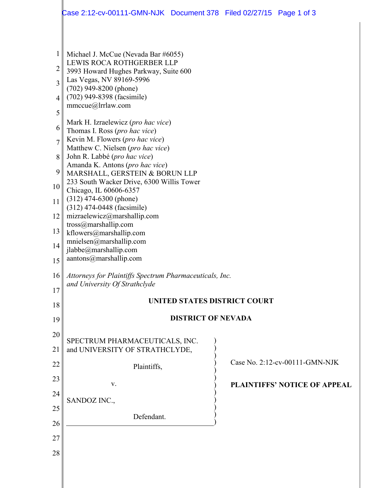|                                                    | Case 2:12-cv-00111-GMN-NJK Document 378 Filed 02/27/15 Page 1 of 3                                                                                                                                                                                         |  |  |                                     |  |  |
|----------------------------------------------------|------------------------------------------------------------------------------------------------------------------------------------------------------------------------------------------------------------------------------------------------------------|--|--|-------------------------------------|--|--|
| $\mathbf{1}$<br>2<br>$\overline{3}$<br>4<br>5<br>6 | Michael J. McCue (Nevada Bar #6055)<br>LEWIS ROCA ROTHGERBER LLP<br>3993 Howard Hughes Parkway, Suite 600<br>Las Vegas, NV 89169-5996<br>$(702)$ 949-8200 (phone)<br>(702) 949-8398 (facsimile)<br>mmccue@lrrlaw.com<br>Mark H. Izraelewicz (pro hac vice) |  |  |                                     |  |  |
| $\overline{7}$                                     | Thomas I. Ross (pro hac vice)<br>Kevin M. Flowers (pro hac vice)<br>Matthew C. Nielsen (pro hac vice)                                                                                                                                                      |  |  |                                     |  |  |
| 8                                                  | John R. Labbé (pro hac vice)                                                                                                                                                                                                                               |  |  |                                     |  |  |
| 9                                                  | Amanda K. Antons (pro hac vice)<br>MARSHALL, GERSTEIN & BORUN LLP<br>233 South Wacker Drive, 6300 Willis Tower<br>Chicago, IL 60606-6357                                                                                                                   |  |  |                                     |  |  |
| 10                                                 |                                                                                                                                                                                                                                                            |  |  |                                     |  |  |
| 11                                                 | $(312)$ 474-6300 (phone)<br>(312) 474-0448 (facsimile)                                                                                                                                                                                                     |  |  |                                     |  |  |
| 12                                                 | mizraelewicz@marshallip.com                                                                                                                                                                                                                                |  |  |                                     |  |  |
| 13                                                 | tross@marshallip.com<br>kflowers@marshallip.com                                                                                                                                                                                                            |  |  |                                     |  |  |
| 14                                                 | mnielsen@marshallip.com<br>jlabbe@marshallip.com                                                                                                                                                                                                           |  |  |                                     |  |  |
| 15                                                 | aantons@marshallip.com                                                                                                                                                                                                                                     |  |  |                                     |  |  |
| 16<br>17                                           | Attorneys for Plaintiffs Spectrum Pharmaceuticals, Inc.<br>and University Of Strathclyde                                                                                                                                                                   |  |  |                                     |  |  |
| 18                                                 | UNITED STATES DISTRICT COURT                                                                                                                                                                                                                               |  |  |                                     |  |  |
| 19                                                 | <b>DISTRICT OF NEVADA</b>                                                                                                                                                                                                                                  |  |  |                                     |  |  |
| 20                                                 |                                                                                                                                                                                                                                                            |  |  |                                     |  |  |
| 21                                                 | SPECTRUM PHARMACEUTICALS, INC.<br>and UNIVERSITY OF STRATHCLYDE,                                                                                                                                                                                           |  |  |                                     |  |  |
| 22                                                 | Plaintiffs,                                                                                                                                                                                                                                                |  |  | Case No. 2:12-cv-00111-GMN-NJK      |  |  |
| 23                                                 | V.                                                                                                                                                                                                                                                         |  |  | <b>PLAINTIFFS' NOTICE OF APPEAL</b> |  |  |
| 24                                                 | SANDOZ INC.,                                                                                                                                                                                                                                               |  |  |                                     |  |  |
| 25                                                 | Defendant.                                                                                                                                                                                                                                                 |  |  |                                     |  |  |
| 26                                                 |                                                                                                                                                                                                                                                            |  |  |                                     |  |  |
| 27                                                 |                                                                                                                                                                                                                                                            |  |  |                                     |  |  |
| 28                                                 |                                                                                                                                                                                                                                                            |  |  |                                     |  |  |
|                                                    |                                                                                                                                                                                                                                                            |  |  |                                     |  |  |

║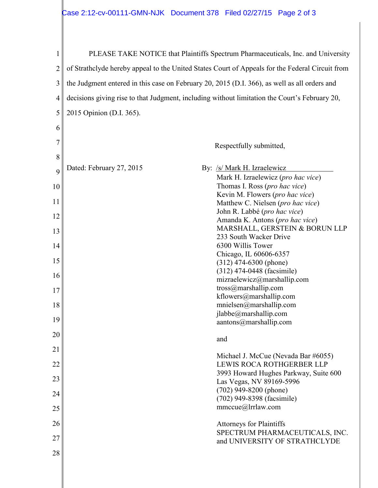| 1  | PLEASE TAKE NOTICE that Plaintiffs Spectrum Pharmaceuticals, Inc. and University                |  |  |  |  |
|----|-------------------------------------------------------------------------------------------------|--|--|--|--|
| 2  | of Strathclyde hereby appeal to the United States Court of Appeals for the Federal Circuit from |  |  |  |  |
| 3  | the Judgment entered in this case on February 20, 2015 (D.I. 366), as well as all orders and    |  |  |  |  |
| 4  | decisions giving rise to that Judgment, including without limitation the Court's February 20,   |  |  |  |  |
| 5  | 2015 Opinion (D.I. 365).                                                                        |  |  |  |  |
| 6  |                                                                                                 |  |  |  |  |
| 7  | Respectfully submitted,                                                                         |  |  |  |  |
| 8  |                                                                                                 |  |  |  |  |
| 9  | Dated: February 27, 2015<br>By: /s/ Mark H. Izraelewicz<br>Mark H. Izraelewicz (pro hac vice)   |  |  |  |  |
| 10 | Thomas I. Ross (pro hac vice)                                                                   |  |  |  |  |
| 11 | Kevin M. Flowers (pro hac vice)<br>Matthew C. Nielsen (pro hac vice)                            |  |  |  |  |
| 12 | John R. Labbé (pro hac vice)<br>Amanda K. Antons (pro hac vice)                                 |  |  |  |  |
| 13 | MARSHALL, GERSTEIN & BORUN LLP                                                                  |  |  |  |  |
| 14 | 233 South Wacker Drive<br>6300 Willis Tower                                                     |  |  |  |  |
| 15 | Chicago, IL 60606-6357<br>$(312)$ 474-6300 (phone)                                              |  |  |  |  |
| 16 | (312) 474-0448 (facsimile)                                                                      |  |  |  |  |
| 17 | mizraelewicz@marshallip.com<br>tross@marshallip.com                                             |  |  |  |  |
| 18 | $k$ flowers@marshallip.com<br>mnielsen@marshallip.com                                           |  |  |  |  |
| 19 | jlabbe@marshallip.com<br>aantons@markmath>markallip.com                                         |  |  |  |  |
| 20 |                                                                                                 |  |  |  |  |
| 21 | and                                                                                             |  |  |  |  |
| 22 | Michael J. McCue (Nevada Bar #6055)<br>LEWIS ROCA ROTHGERBER LLP                                |  |  |  |  |
| 23 | 3993 Howard Hughes Parkway, Suite 600                                                           |  |  |  |  |
| 24 | Las Vegas, NV 89169-5996<br>$(702)$ 949-8200 (phone)                                            |  |  |  |  |
| 25 | (702) 949-8398 (facsimile)<br>mmccue@lrrlaw.com                                                 |  |  |  |  |
|    |                                                                                                 |  |  |  |  |
| 26 | <b>Attorneys for Plaintiffs</b><br>SPECTRUM PHARMACEUTICALS, INC.                               |  |  |  |  |
| 27 | and UNIVERSITY OF STRATHCLYDE                                                                   |  |  |  |  |
| 28 |                                                                                                 |  |  |  |  |